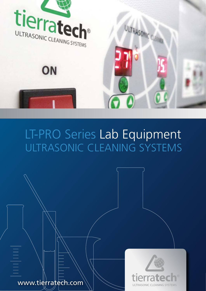

# ULTRASONIC CLEANING SYSTEMS LT-PRO Series Lab Equipment

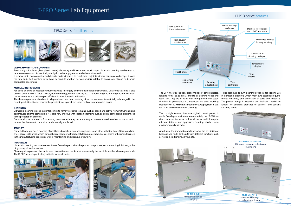### **LABORATORIES - LAB EQUIPMENT**

Particularly suitable for glass, plastic, metal, laboratory and instruments work shops. Ultrasonic cleaning can be used to remove any remains of chemicals, oils, hydrocarbons, pigments, and other various soils.

It removes soils from complex, and delicate parts with hard-to-reach areas or joints without causing any damage. It saves the time and effort involved in washing by hand. In addition to cleaning, it is suitable to degas solvents and to disperse compacted specimens.

### **MEDICAL INSTRUMENTS**

For deep cleaning of medical instruments used in surgery and various medical instruments. Ultrasonic cleaning is also used in other medical fields such as, ophthalmology, veterinary care, etc. It removes organic or inorganic remains from the instruments as a prior step to efficient disinfection and sterilization.

The cleaning procedure is raised to a higher level than hand washing, since the instruments are totally submerged in the cleaning solution. It also reduces the possibility of injury from sharp tools or contaminated edges.

### **DENTISTRY**

Ultrasonic cleaning is used in dental clinics to remove organic remains, such as blood and saliva, from instruments and apparatuses prior to sterilization. It is also very effective with inorganic remains such as dental cement and plaster used in the preparation of molds.

Dentists also recommend it for cleaning dentures at home, since it is easy to use compared to other products, which require the dentures to be soaked and manually scrubbed.

### **JEWELRY**

For fast, thorough, deep cleaning of necklaces, brooches, watches, rings, coins, and other valuable items. Ultrasound reaches inaccessible areas, which cannot be reached using traditional cleaning methods such as cloths or brushes. It is used in the manufacturing process as well in maintaining and cleaning of jewelry.

### **INDUSTRIAL**

Ultrasonic cleaning removes contaminates from the parts after the production process, such as cutting lubricant, polishing paste, oil, and abrasives.

Cleaning takes place on the surface and in cavities and cracks which are usually inaccessible in other cleaning methods. The LT-PRO series is particularly suitable for small parts.





# LT-PRO Series Lab Equipment

## LT-PRO Series: for all sectors



## LT-PRO Series: features



The straightforward, intuitive digital control panel, is made from high-quality modern materials, the LT-PRO series is an essential work tool for all sectors which require efficient, intense, non-aggressive cleaning which is also environmentally friendly.

The LT-PRO series includes eight models of different sizes, ranging from 1 to 26 litres, suited to all cleaning needs and item sizes. They are all fitted with high performance steeltitanium IBL piezo-electric transducers and use a working frequency of 40 KHz with a frequency sweep system  $\pm 2\%$ , for faster and more uniform cleaning. Tierra Tech has its own cleaning products for specific use in ultrasonic cleaning, which meet two essential requirements: efficiency and protection of parts and materials. The product range is extensive and includes special solutions for different branches of business and specific cleaning needs.

Apart from the standard models, we offer the possibility of bespoke and multi-tank units with different functions such as hot and cold rinsing, drying, etc.